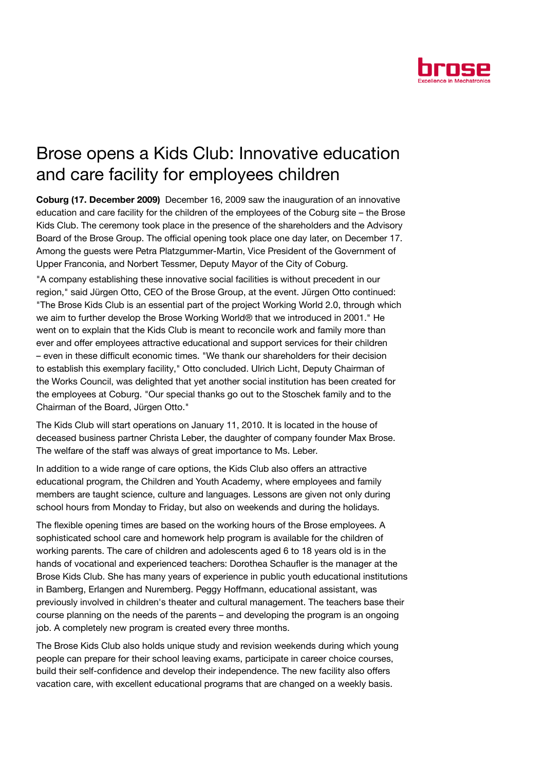

## Brose opens a Kids Club: Innovative education and care facility for employees children

Coburg (17. December 2009) December 16, 2009 saw the inauguration of an innovative education and care facility for the children of the employees of the Coburg site – the Brose Kids Club. The ceremony took place in the presence of the shareholders and the Advisory Board of the Brose Group. The official opening took place one day later, on December 17. Among the guests were Petra Platzgummer-Martin, Vice President of the Government of Upper Franconia, and Norbert Tessmer, Deputy Mayor of the City of Coburg.

"A company establishing these innovative social facilities is without precedent in our region," said Jürgen Otto, CEO of the Brose Group, at the event. Jürgen Otto continued: "The Brose Kids Club is an essential part of the project Working World 2.0, through which we aim to further develop the Brose Working World® that we introduced in 2001." He went on to explain that the Kids Club is meant to reconcile work and family more than ever and offer employees attractive educational and support services for their children – even in these difficult economic times. "We thank our shareholders for their decision to establish this exemplary facility," Otto concluded. Ulrich Licht, Deputy Chairman of the Works Council, was delighted that yet another social institution has been created for the employees at Coburg. "Our special thanks go out to the Stoschek family and to the Chairman of the Board, Jürgen Otto."

The Kids Club will start operations on January 11, 2010. It is located in the house of deceased business partner Christa Leber, the daughter of company founder Max Brose. The welfare of the staff was always of great importance to Ms. Leber.

In addition to a wide range of care options, the Kids Club also offers an attractive educational program, the Children and Youth Academy, where employees and family members are taught science, culture and languages. Lessons are given not only during school hours from Monday to Friday, but also on weekends and during the holidays.

The flexible opening times are based on the working hours of the Brose employees. A sophisticated school care and homework help program is available for the children of working parents. The care of children and adolescents aged 6 to 18 years old is in the hands of vocational and experienced teachers: Dorothea Schaufler is the manager at the Brose Kids Club. She has many years of experience in public youth educational institutions in Bamberg, Erlangen and Nuremberg. Peggy Hoffmann, educational assistant, was previously involved in children's theater and cultural management. The teachers base their course planning on the needs of the parents – and developing the program is an ongoing job. A completely new program is created every three months.

The Brose Kids Club also holds unique study and revision weekends during which young people can prepare for their school leaving exams, participate in career choice courses, build their self-confidence and develop their independence. The new facility also offers vacation care, with excellent educational programs that are changed on a weekly basis.